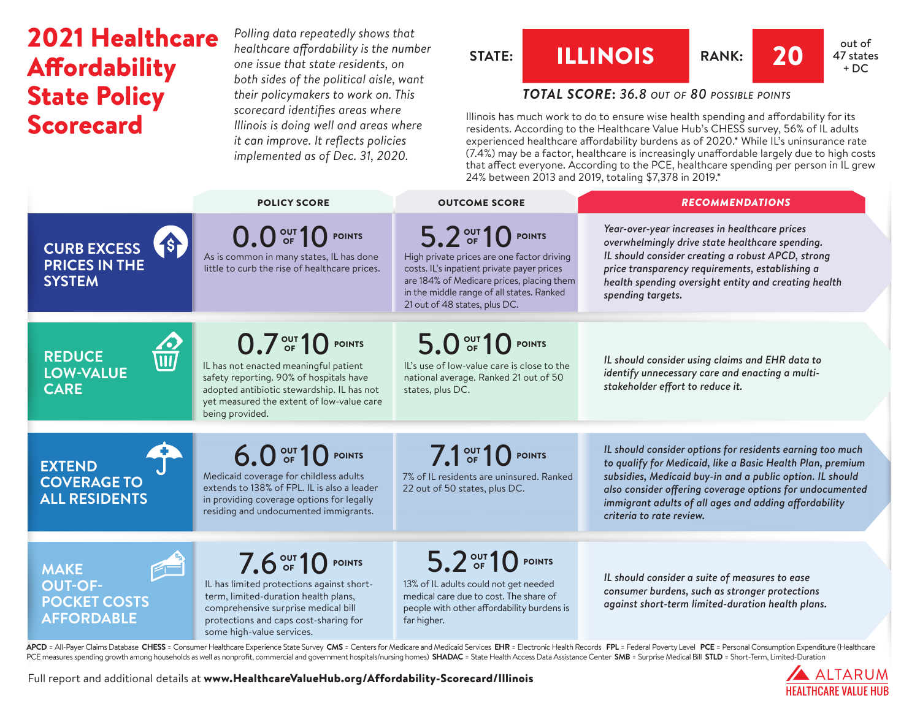# 2021 Healthcare Affordability State Policy **Scorecard**

*Polling data repeatedly shows that healthcare affordability is the number one issue that state residents, on both sides of the political aisle, want their policymakers to work on. This scorecard identifies areas where Illinois is doing well and areas where it can improve. It reflects policies implemented as of Dec. 31, 2020.*

# **STATE: ILLINOIS** RANK: **20 at a** <sup>out of</sup>



47 states  $+ DC$ 

# *TOTAL SCORE***:** *36.8 out of 80 possible points*

Illinois has much work to do to ensure wise health spending and affordability for its residents. According to the Healthcare Value Hub's CHESS survey, 56% of IL adults experienced healthcare affordability burdens as of 2020.\* While IL's uninsurance rate (7.4%) may be a factor, healthcare is increasingly unaffordable largely due to high costs that affect everyone. According to the PCE, healthcare spending per person in IL grew 24% between 2013 and 2019, totaling \$7,378 in 2019.\*

|                                                                                                                        | <b>POLICY SCORE</b>                                                                                                                                                                                                 | <b>OUTCOME SCORE</b>                                                                                                                                                                                                                     | <b>RECOMMENDATIONS</b>                                                                                                                                                                                                                                                                                                                |
|------------------------------------------------------------------------------------------------------------------------|---------------------------------------------------------------------------------------------------------------------------------------------------------------------------------------------------------------------|------------------------------------------------------------------------------------------------------------------------------------------------------------------------------------------------------------------------------------------|---------------------------------------------------------------------------------------------------------------------------------------------------------------------------------------------------------------------------------------------------------------------------------------------------------------------------------------|
| CURB EXCESS<br><b>PRICES IN THE</b><br><b>SYSTEM</b>                                                                   | 0.0 OF 10 POINTS<br>As is common in many states, IL has done<br>little to curb the rise of healthcare prices.                                                                                                       | 5.2 OUT 10 POINTS<br>High private prices are one factor driving<br>costs. IL's inpatient private payer prices<br>are 184% of Medicare prices, placing them<br>in the middle range of all states. Ranked<br>21 out of 48 states, plus DC. | Year-over-year increases in healthcare prices<br>overwhelmingly drive state healthcare spending.<br>IL should consider creating a robust APCD, strong<br>price transparency requirements, establishing a<br>health spending oversight entity and creating health<br>spending targets.                                                 |
| $\Omega$<br><b>REDUCE</b><br>$\bar{\overline{\mathfrak{m}}\overline{\mathfrak{l}}}$<br><b>LOW-VALUE</b><br><b>CARE</b> | 0.7 OF 10 POINTS<br>IL has not enacted meaningful patient<br>safety reporting. 90% of hospitals have<br>adopted antibiotic stewardship. IL has not<br>yet measured the extent of low-value care<br>being provided.  | 5.0 OF 10 POINTS<br>IL's use of low-value care is close to the<br>national average. Ranked 21 out of 50<br>states, plus DC.                                                                                                              | IL should consider using claims and EHR data to<br>identify unnecessary care and enacting a multi-<br>stakeholder effort to reduce it.                                                                                                                                                                                                |
| <b>EXTEND</b><br><b>COVERAGE TO</b><br><b>ALL RESIDENTS</b>                                                            | 6.0 OF 10 POINTS<br>Medicaid coverage for childless adults<br>extends to 138% of FPL. IL is also a leader<br>in providing coverage options for legally<br>residing and undocumented immigrants.                     | 7.1 OF 10 POINTS<br>7% of IL residents are uninsured. Ranked<br>22 out of 50 states, plus DC.                                                                                                                                            | IL should consider options for residents earning too much<br>to qualify for Medicaid, like a Basic Health Plan, premium<br>subsidies, Medicaid buy-in and a public option. IL should<br>also consider offering coverage options for undocumented<br>immigrant adults of all ages and adding affordability<br>criteria to rate review. |
| $\sqrt{2}$<br><b>MAKE</b><br><b>OUT-OF-</b><br><b>POCKET COSTS</b><br><b>AFFORDABLE</b>                                | 7.6 OUT 10 POINTS<br>IL has limited protections against short-<br>term, limited-duration health plans,<br>comprehensive surprise medical bill<br>protections and caps cost-sharing for<br>some high-value services. | 5.2 OUT 10 POINTS<br>13% of IL adults could not get needed<br>medical care due to cost. The share of<br>people with other affordability burdens is<br>far higher.                                                                        | IL should consider a suite of measures to ease<br>consumer burdens, such as stronger protections<br>against short-term limited-duration health plans.                                                                                                                                                                                 |

APCD = All-Payer Claims Database CHESS = Consumer Healthcare Experience State Survey CMS = Centers for Medicare and Medicaid Services EHR = Electronic Health Records FPL = Federal Poverty Level PCE = Personal Consumption E PCE measures spending growth among households as well as nonprofit, commercial and government hospitals/nursing homes) SHADAC = State Health Access Data Assistance Center SMB = Surprise Medical Bill STLD = Short-Term, Limi

Full report and additional details at [www.HealthcareValueHub.org/Affordability-Scorecard/I](https://www.HealthcareValueHub.org/Affordability-Scorecard/Illinois)llinois